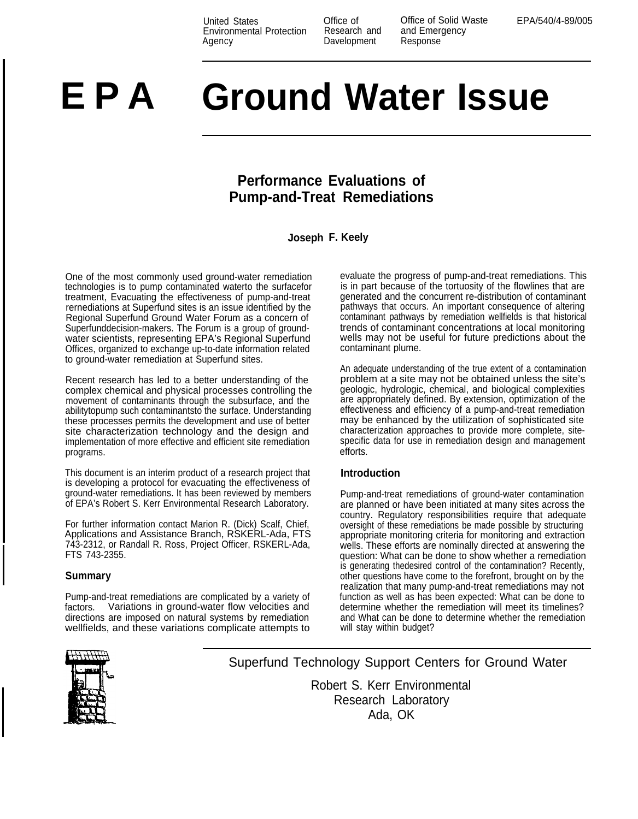United States Office of Office of Solid Waste EPA/540/4-89/005 Environmental Protection Research and and Emer<br>Agency Bavelopment Response Agency Davelopment

# **E P A Ground Water Issue**

## **Performance Evaluations of Pump-and-Treat Remediations**

**Joseph F. Keely**

One of the most commonly used ground-water remediation technologies is to pump contaminated waterto the surfacefor treatment, Evacuating the effectiveness of pump-and-treat rernediations at Superfund sites is an issue identified by the Regional Superfund Ground Water Forum as a concern of Superfunddecision-makers. The Forum is a group of groundwater scientists, representing EPA's Regional Superfund Offices, organized to exchange up-to-date information related to ground-water remediation at Superfund sites.

Recent research has led to a better understanding of the complex chemical and physical processes controlling the movement of contaminants through the subsurface, and the abilitytopump such contaminantsto the surface. Understanding these processes permits the development and use of better site characterization technology and the design and implementation of more effective and efficient site remediation programs.

This document is an interim product of a research project that is developing a protocol for evacuating the effectiveness of ground-water remediations. It has been reviewed by members of EPA's Robert S. Kerr Environmental Research Laboratory.

For further information contact Marion R. (Dick) Scalf, Chief, Applications and Assistance Branch, RSKERL-Ada, FTS 743-2312, or Randall R. Ross, Project Officer, RSKERL-Ada, FTS 743-2355.

## **Summary**

Pump-and-treat remediations are complicated by a variety of factors. Variations in ground-water flow velocities and directions are imposed on natural systems by remediation wellfields, and these variations complicate attempts to evaluate the progress of pump-and-treat remediations. This is in part because of the tortuosity of the flowlines that are generated and the concurrent re-distribution of contaminant pathways that occurs. An important consequence of altering contaminant pathways by remediation wellfields is that historical trends of contaminant concentrations at local monitoring wells may not be useful for future predictions about the contaminant plume.

An adequate understanding of the true extent of a contamination problem at a site may not be obtained unless the site's geologic, hydrologic, chemical, and biological complexities are appropriately defined. By extension, optimization of the effectiveness and efficiency of a pump-and-treat remediation may be enhanced by the utilization of sophisticated site characterization approaches to provide more complete, sitespecific data for use in remediation design and management efforts.

## **Introduction**

Pump-and-treat remediations of ground-water contamination are planned or have been initiated at many sites across the country. Regulatory responsibilities require that adequate oversight of these remediations be made possible by structuring appropriate monitoring criteria for monitoring and extraction wells. These efforts are nominally directed at answering the question: What can be done to show whether a remediation is generating thedesired control of the contamination? Recently, other questions have come to the forefront, brought on by the realization that many pump-and-treat remediations may not function as well as has been expected: What can be done to determine whether the remediation will meet its timelines? and What can be done to determine whether the remediation will stay within budget?



Superfund Technology Support Centers for Ground Water

Robert S. Kerr Environmental Research Laboratory Ada, OK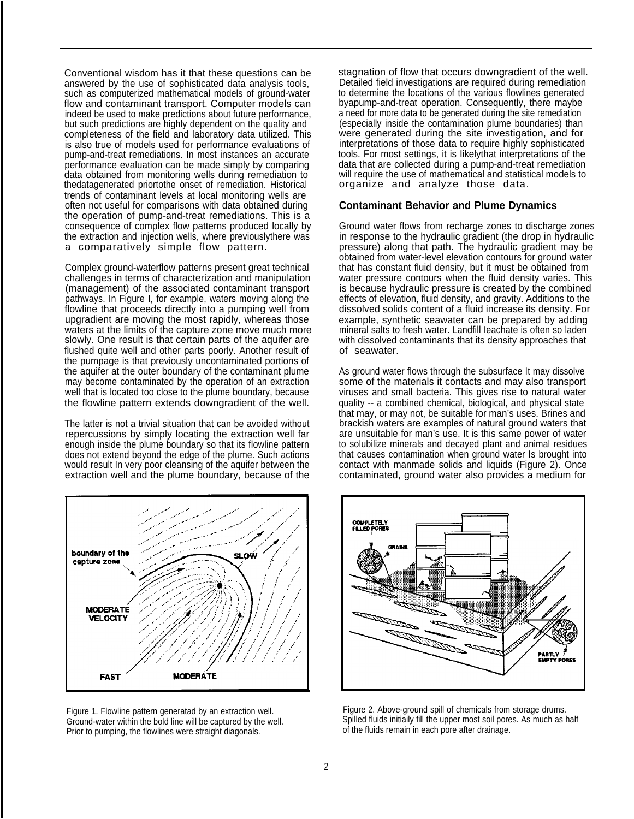Conventional wisdom has it that these questions can be answered by the use of sophisticated data analysis tools, such as computerized mathematical models of ground-water flow and contaminant transport. Computer models can indeed be used to make predictions about future performance, but such predictions are highly dependent on the quality and completeness of the field and laboratory data utilized. This is also true of models used for performance evaluations of pump-and-treat remediations. In most instances an accurate performance evaluation can be made simply by comparing data obtained from monitoring wells during rernediation to thedatagenerated priortothe onset of remediation. Historical trends of contaminant levels at local monitoring wells are often not useful for comparisons with data obtained during the operation of pump-and-treat remediations. This is a consequence of complex flow patterns produced locally by the extraction and injection wells, where previouslythere was a comparatively simple flow pattern.

Complex ground-waterflow patterns present great technical challenges in terms of characterization and manipulation (management) of the associated contaminant transport pathways. In Figure I, for example, waters moving along the flowline that proceeds directly into a pumping well from upgradient are moving the most rapidly, whereas those waters at the limits of the capture zone move much more slowly. One result is that certain parts of the aquifer are flushed quite well and other parts poorly. Another result of the pumpage is that previously uncontaminated portions of the aquifer at the outer boundary of the contaminant plume may become contaminated by the operation of an extraction well that is located too close to the plume boundary, because the flowline pattern extends downgradient of the well.

The latter is not a trivial situation that can be avoided without repercussions by simply locating the extraction well far enough inside the plume boundary so that its flowline pattern does not extend beyond the edge of the plume. Such actions would result In very poor cleansing of the aquifer between the extraction well and the plume boundary, because of the



Figure 1. Flowline pattern generatad by an extraction well. Ground-water within the bold line will be captured by the well. Prior to pumping, the flowlines were straight diagonals.

stagnation of flow that occurs downgradient of the well. Detailed field investigations are required during remediation to determine the locations of the various flowlines generated byapump-and-treat operation. Consequently, there maybe a need for more data to be generated during the site remediation (especially inside the contamination plume boundaries) than were generated during the site investigation, and for interpretations of those data to require highly sophisticated tools. For most settings, it is Iikelythat interpretations of the data that are collected during a pump-and-treat remediation will require the use of mathematical and statistical models to organize and analyze those data.

## **Contaminant Behavior and Plume Dynamics**

Ground water flows from recharge zones to discharge zones in response to the hydraulic gradient (the drop in hydraulic pressure) along that path. The hydraulic gradient may be obtained from water-level elevation contours for ground water that has constant fluid density, but it must be obtained from water pressure contours when the fluid density varies. This is because hydraulic pressure is created by the combined effects of elevation, fluid density, and gravity. Additions to the dissolved solids content of a fluid increase its density. For example, synthetic seawater can be prepared by adding mineral salts to fresh water. Landfill Ieachate is often so laden with dissolved contaminants that its density approaches that of seawater.

As ground water flows through the subsurface It may dissolve some of the materials it contacts and may also transport viruses and small bacteria. This gives rise to natural water quality -- a combined chemical, biological, and physical state that may, or may not, be suitable for man's uses. Brines and brackish waters are examples of natural ground waters that are unsuitable for man's use. It is this same power of water to solubilize minerals and decayed plant and animal residues that causes contamination when ground water Is brought into contact with manmade solids and liquids (Figure 2). Once contaminated, ground water also provides a medium for



Figure 2. Above-ground spill of chemicals from storage drums. Spilled fluids initiaily fill the upper most soil pores. As much as half of the fluids remain in each pore after drainage.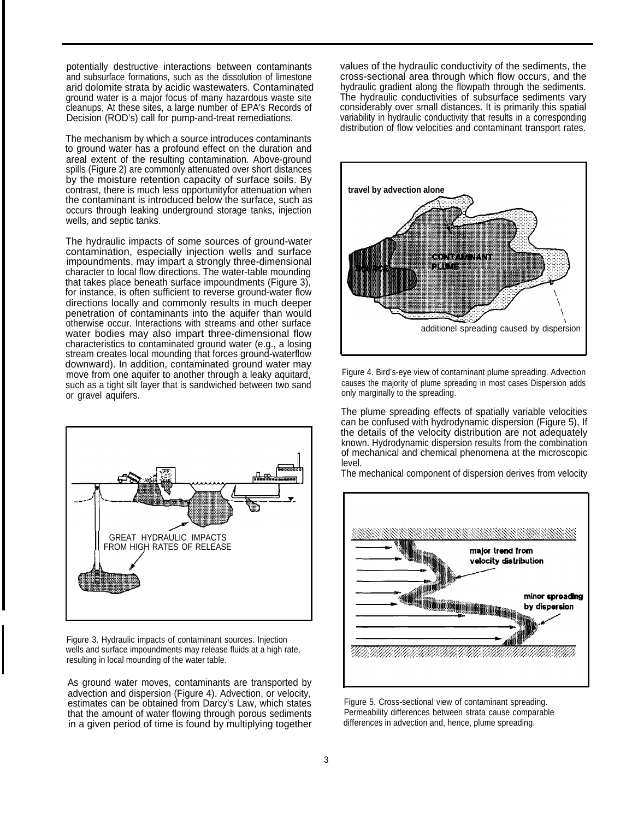potentially destructive interactions between contaminants and subsurface formations, such as the dissolution of limestone arid dolomite strata by acidic wastewaters. Contaminated ground water is a major focus of many hazardous waste site cleanups, At these sites, a large number of EPA's Records of Decision (ROD's) call for pump-and-treat remediations.

The mechanism by which a source introduces contaminants to ground water has a profound effect on the duration and areal extent of the resulting contamination. Above-ground spills (Figure 2) are commonly attenuated over short distances by the moisture retention capacity of surface soils. By contrast, there is much less opportunity for attenuation when the contaminant is introduced below the surface, such as occurs through leaking underground storage tanks, injection wells, and septic tanks.

The hydraulic impacts of some sources of ground-water contamination, especially injection wells and surface impoundments, may impart a strongly three-dimensional character to local flow directions. The water-table mounding that takes place beneath surface impoundments (Figure 3), for instance, is often sufficient to reverse ground-water flow directions locally and commonly results in much deeper penetration of contaminants into the aquifer than would otherwise occur. Interactions with streams and other surface water bodies may also impart three-dimensional flow characteristics to contaminated ground water (e.g., a losing stream creates local mounding that forces ground-waterflow downward). In addition, contaminated ground water may move from one aquifer to another through a leaky aquitard, such as a tight silt Iayer that is sandwiched between two sand or gravel aquifers.



Figure 3. Hydraulic impacts of contarninant sources. Injection wells and surface impoundments may release fluids at a high rate, resulting in local mounding of the water table.

As ground water moves, contaminants are transported by advection and dispersion (Figure 4). Advection, or velocity, estimates can be obtained from Darcy's Law, which states that the amount of water flowing through porous sediments in a given period of time is found by multiplying together values of the hydraulic conductivity of the sediments, the cross-sectional area through which flow occurs, and the hydraulic gradient along the flowpath through the sediments. The hydraulic conductivities of subsurface sediments vary considerably over small distances. It is primarily this spatial variability in hydraulic conductivity that results in a corresponding distribution of flow velocities and contaminant transport rates.



Figure 4. Bird's-eye view of contarninant plume spreading. Advection causes the majority of plume spreading in most cases Dispersion adds only marginally to the spreading.

The plume spreading effects of spatially variable velocities can be confused with hydrodynamic dispersion (Figure 5), If the details of the velocity distribution are not adequately known. Hydrodynamic dispersion results from the combination of mechanical and chemical phenomena at the microscopic level.

The mechanical component of dispersion derives from velocity



Figure 5. Cross-sectional view of contaminant spreading. Permeability differences between strata cause comparable differences in advection and, hence, plume spreading.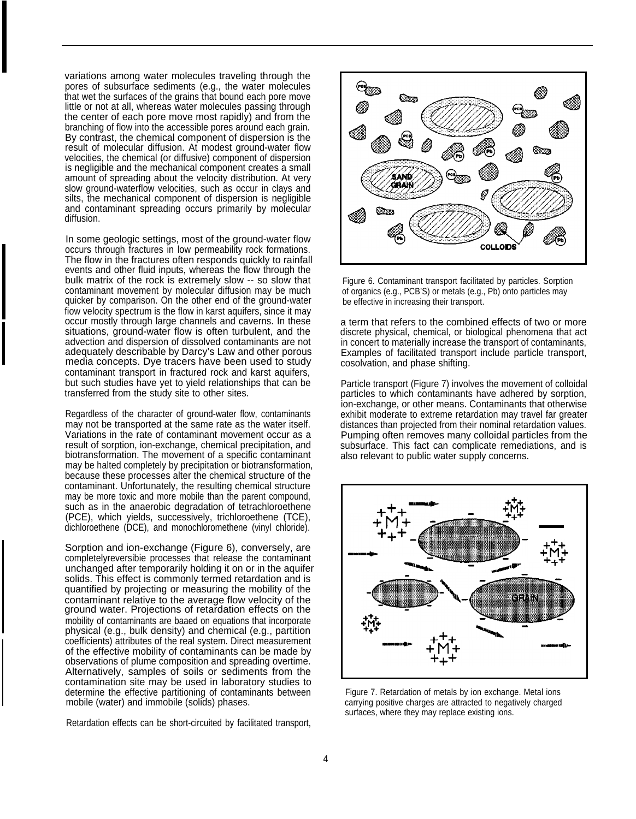variations among water molecules traveling through the pores of subsurface sediments (e.g., the water molecules that wet the surfaces of the grains that bound each pore move little or not at all, whereas water molecules passing through the center of each pore move most rapidly) and from the branching of flow into the accessible pores around each grain. By contrast, the chemical component of dispersion is the result of molecular diffusion. At modest ground-water flow velocities, the chemical (or diffusive) component of dispersion is negligible and the mechanical component creates a small amount of spreading about the velocity distribution. At very slow ground-waterflow velocities, such as occur in clays and silts, the mechanical component of dispersion is negligible and contaminant spreading occurs primarily by molecular diffusion.

In some geologic settings, most of the ground-water flow occurs through fractures in low permeability rock formations. The flow in the fractures often responds quickly to rainfall events and other fluid inputs, whereas the flow through the bulk matrix of the rock is extremely slow -- so slow that contaminant movement by molecular diffusion may be much quicker by comparison. On the other end of the ground-water fiow velocity spectrum is the flow in karst aquifers, since it may occur mostly through large channels and caverns. In these situations, ground-water flow is often turbulent, and the advection and dispersion of dissolved contaminants are not adequately describable by Darcy's Law and other porous media concepts. Dye tracers have been used to study contaminant transport in fractured rock and karst aquifers, but such studies have yet to yield relationships that can be transferred from the study site to other sites.

Regardless of the character of ground-water flow, contaminants may not be transported at the same rate as the water itself. Variations in the rate of contaminant movement occur as a result of sorption, ion-exchange, chemical precipitation, and biotransformation. The movement of a specific contaminant may be halted completely by precipitation or biotransformation, because these processes alter the chemical structure of the contaminant. Unfortunately, the resulting chemical structure may be more toxic and more mobile than the parent compound, such as in the anaerobic degradation of tetrachloroethene (PCE), which yields, successively, trichloroethene (TCE), dichloroethene (DCE), and monochloromethene (vinyl chloride).

Sorption and ion-exchange (Figure 6), conversely, are completelyreversibie processes that release the contaminant unchanged after temporarily holding it on or in the aquifer solids. This effect is commonly termed retardation and is quantified by projecting or measuring the mobility of the contaminant relative to the average flow velocity of the ground water. Projections of retardation effects on the mobility of contaminants are baaed on equations that incorporate physical (e.g., bulk density) and chemical (e.g., partition coefficients) attributes of the real system. Direct measurement of the effective mobility of contaminants can be made by observations of plume composition and spreading overtime. Alternatively, samples of soils or sediments from the contamination site may be used in laboratory studies to determine the effective partitioning of contaminants between mobile (water) and immobile (solids) phases.

Retardation effects can be short-circuited by facilitated transport,



Figure 6. Contaminant transport facilitated by particles. Sorption of organics (e.g., PCB'S) or metals (e.g., Pb) onto particles may be effective in increasing their transport.

a term that refers to the combined effects of two or more discrete physical, chemical, or biological phenomena that act in concert to materially increase the transport of contaminants, Examples of facilitated transport include particle transport, cosolvation, and phase shifting.

Particle transport (Figure 7) involves the movement of colloidal particles to which contaminants have adhered by sorption, ion-exchange, or other means. Contaminants that otherwise exhibit moderate to extreme retardation may travel far greater distances than projected from their nominal retardation values. Pumping often removes many colloidal particles from the subsurface. This fact can complicate remediations, and is also relevant to public water supply concerns.



Figure 7. Retardation of metals by ion exchange. Metal ions carrying positive charges are attracted to negatively charged surfaces, where they may replace existing ions.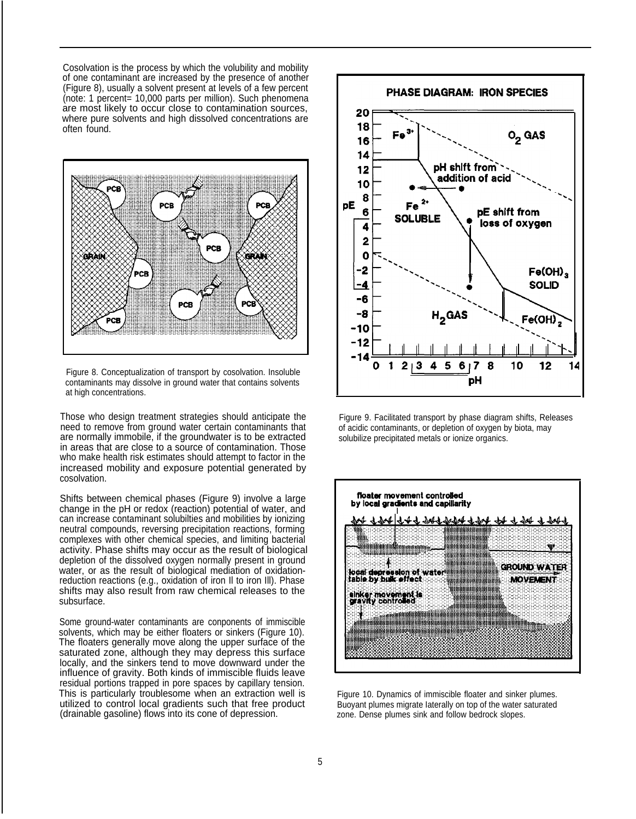Cosolvation is the process by which the volubility and mobility of one contaminant are increased by the presence of another (Figure 8), usually a solvent present at levels of a few percent (note: 1 percent= 10,000 parts per million). Such phenomena are most likely to occur close to contamination sources, where pure solvents and high dissolved concentrations are often found.



Figure 8. Conceptualization of transport by cosolvation. Insoluble contaminants may dissolve in ground water that contains solvents at high concentrations.

Those who design treatment strategies should anticipate the need to remove from ground water certain contaminants that are normally immobile, if the groundwater is to be extracted in areas that are close to a source of contamination. Those who make health risk estimates should attempt to factor in the increased mobility and exposure potential generated by cosolvation.

Shifts between chemical phases (Figure 9) involve a large change in the pH or redox (reaction) potential of water, and can increase contaminant solubilties and mobilities by ionizing neutral compounds, reversing precipitation reactions, forming complexes with other chemical species, and limiting bacterial activity. Phase shifts may occur as the result of biological depletion of the dissolved oxygen normally present in ground water, or as the result of biological mediation of oxidationreduction reactions (e.g., oxidation of iron Il to iron Ill). Phase shifts may also result from raw chemical releases to the subsurface.

Some ground-water contaminants are conponents of immiscible solvents, which may be either floaters or sinkers (Figure 10). The floaters generally move along the upper surface of the saturated zone, although they may depress this surface locally, and the sinkers tend to move downward under the influence of gravity. Both kinds of immiscible fluids leave residual portions trapped in pore spaces by capillary tension. This is particularly troublesome when an extraction well is utilized to control local gradients such that free product (drainable gasoline) flows into its cone of depression.



Figure 9. Facilitated transport by phase diagram shifts, Releases of acidic contaminants, or depletion of oxygen by biota, may solubilize precipitated metals or ionize organics.



Figure 10. Dynamics of immiscible floater and sinker plumes. Buoyant plumes migrate Iaterally on top of the water saturated zone. Dense plumes sink and follow bedrock slopes.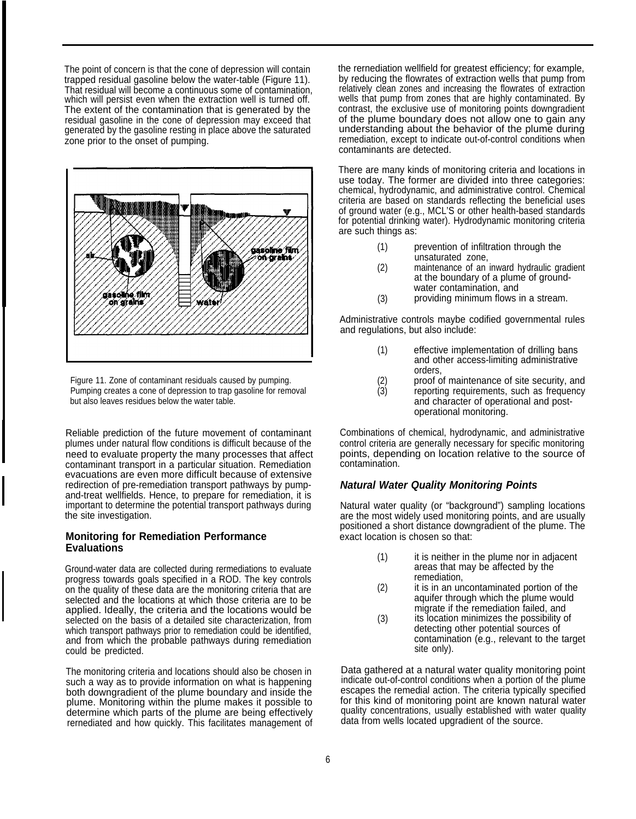The point of concern is that the cone of depression will contain trapped residual gasoline below the water-table (Figure 11). That residual will become a continuous some of contamination, which will persist even when the extraction well is turned off. The extent of the contamination that is generated by the residual gasoline in the cone of depression may exceed that generated by the gasoline resting in place above the saturated zone prior to the onset of pumping.



Figure 11. Zone of contaminant residuals caused by pumping. Pumping creates a cone of depression to trap gasoline for removal but also leaves residues below the water table.

Reliable prediction of the future movement of contaminant plumes under natural flow conditions is difficult because of the need to evaluate property the many processes that affect contaminant transport in a particular situation. Remediation evacuations are even more difficult because of extensive redirection of pre-remediation transport pathways by pumpand-treat wellfields. Hence, to prepare for remediation, it is important to determine the potential transport pathways during the site investigation.

## **Monitoring for Remediation Performance Evaluations**

Ground-water data are collected during rermediations to evaluate progress towards goals specified in a ROD. The key controls on the quality of these data are the monitoring criteria that are selected and the locations at which those criteria are to be applied. Ideally, the criteria and the locations would be selected on the basis of a detailed site characterization, from which transport pathways prior to remediation could be identified, and from which the probable pathways during remediation could be predicted.

The monitoring criteria and locations should also be chosen in such a way as to provide information on what is happening both downgradient of the plume boundary and inside the plume. Monitoring within the plume makes it possible to determine which parts of the plume are being effectively rernediated and how quickly. This facilitates management of the rernediation wellfield for greatest efficiency; for example, by reducing the flowrates of extraction wells that pump from relatively clean zones and increasing the flowrates of extraction wells that pump from zones that are highly contaminated. By contrast, the exclusive use of monitoring points downgradient of the plume boundary does not allow one to gain any understanding about the behavior of the plume during remediation, except to indicate out-of-control conditions when contaminants are detected.

There are many kinds of monitoring criteria and locations in use today. The former are divided into three categories: chemical, hydrodynamic, and administrative control. Chemical criteria are based on standards reflecting the beneficial uses of ground water (e.g., MCL'S or other health-based standards for potential drinking water). Hydrodynamic monitoring criteria are such things as:

- (1) prevention of infiltration through the unsaturated zone,
- (2) maintenance of an inward hydraulic gradient at the boundary of a plume of groundwater contamination, and
- (3) providing minimum flows in a stream.

Administrative controls maybe codified governmental rules and regulations, but also include:

- (1) effective implementation of drilling bans and other access-limiting administrative orders,
- (2) proof of maintenance of site security, and<br>(3) reporting requirements, such as frequency reporting requirements, such as frequency and character of operational and postoperational monitoring.

Combinations of chemical, hydrodynamic, and administrative control criteria are generally necessary for specific monitoring points, depending on location relative to the source of contamination.

## **Natural Water Quality Monitoring Points**

Natural water quality (or "background") sampling locations are the most widely used monitoring points, and are usually positioned a short distance downgradient of the plume. The exact location is chosen so that:

- (1) it is neither in the plume nor in adjacent areas that may be affected by the remediation,
- (2) it is in an uncontaminated portion of the aquifer through which the plume would migrate if the remediation failed, and
- (3) its location minimizes the possibility of detecting other potential sources of contamination (e.g., relevant to the target site only).

Data gathered at a natural water quality monitoring point indicate out-of-control conditions when a portion of the plume escapes the remedial action. The criteria typically specified for this kind of monitoring point are known natural water quality concentrations, usually established with water quality data from wells located upgradient of the source.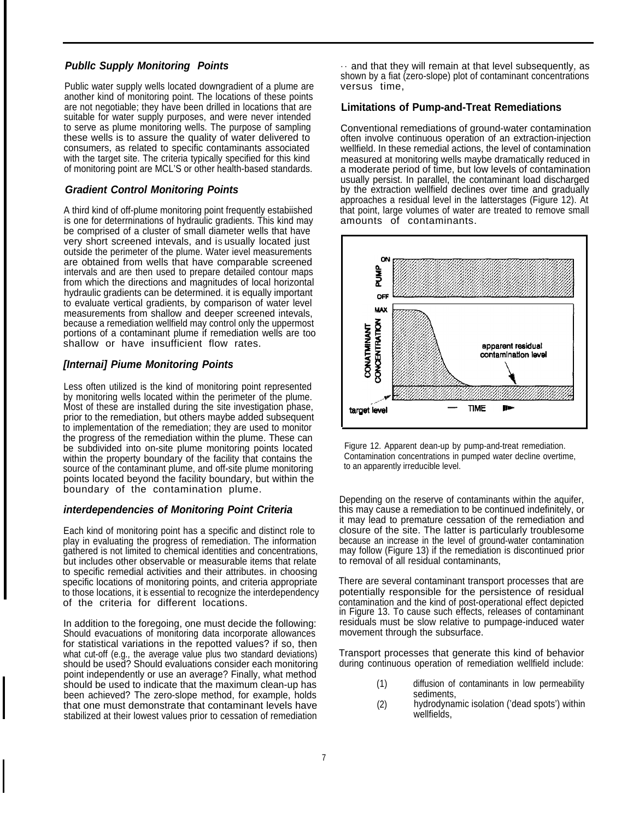## **Publlc Supply Monitoring Points**

Public water supply wells located downgradient of a plume are another kind of monitoring point. The locations of these points are not negotiable; they have been drilled in locations that are suitable for water supply purposes, and were never intended to serve as plume monitoring wells. The purpose of sampling these wells is to assure the quality of water delivered to consumers, as related to specific contaminants associated with the target site. The criteria typically specified for this kind of monitoring point are MCL'S or other health-based standards.

## **Gradient Control Monitoring Points**

A third kind of off-plume monitoring point frequently estabiished is one for deterrninations of hydraulic gradients. This kind may be comprised of a cluster of small diameter wells that have very short screened intevals, and is usually located just outside the perimeter of the plume. Water ievel measurements are obtained from wells that have comparable screened intervals and are then used to prepare detailed contour maps from which the directions and magnitudes of local horizontal hydraulic gradients can be determined. it is equally important to evaluate vertical gradients, by comparison of water level measurements from shallow and deeper screened intevals, because a remediation wellfield may control only the uppermost portions of a contaminant plume if remediation wells are too shallow or have insufficient flow rates.

## **[Internai] Piume Monitoring Points**

Less often utilized is the kind of monitoring point represented by monitoring wells located within the perimeter of the plume. Most of these are installed during the site investigation phase, prior to the remediation, but others maybe added subsequent to implementation of the remediation; they are used to monitor the progress of the remediation within the plume. These can be subdivided into on-site plume monitoring points located within the property boundary of the facility that contains the source of the contaminant plume, and off-site plume monitoring points located beyond the facility boundary, but within the boundary of the contamination plume.

#### **interdependencies of Monitoring Point Criteria**

Each kind of monitoring point has a specific and distinct role to play in evaluating the progress of remediation. The information gathered is not limited to chemical identities and concentrations, but includes other observable or measurable items that relate to specific remedial activities and their attributes. in choosing specific locations of monitoring points, and criteria appropriate to those locations, it is essential to recognize the interdependency of the criteria for different locations.

In addition to the foregoing, one must decide the following: Should evacuations of monitoring data incorporate allowances for statistical variations in the repotted values? if so, then what cut-off (e.g., the average value plus two standard deviations) should be used? Should evaluations consider each monitoring point independently or use an average? Finally, what method should be used to indicate that the maximum clean-up has been achieved? The zero-slope method, for example, holds that one must demonstrate that contaminant levels have stabilized at their lowest values prior to cessation of remediation

 $\cdots$  and that they will remain at that level subsequently, as shown by a fiat (zero-slope) plot of contaminant concentrations versus time.

## **Limitations of Pump-and-Treat Remediations**

Conventional remediations of ground-water contamination often involve continuous operation of an extraction-injection wellfield. In these remedial actions, the level of contamination measured at monitoring wells maybe dramatically reduced in a moderate period of time, but low levels of contamination usually persist. In parallel, the contaminant load discharged by the extraction wellfield declines over time and gradually approaches a residual level in the latterstages (Figure 12). At that point, large volumes of water are treated to remove small amounts of contaminants.



Figure 12. Apparent dean-up by pump-and-treat remediation. Contamination concentrations in pumped water decline overtime, to an apparently irreducible level.

Depending on the reserve of contaminants within the aquifer, this may cause a remediation to be continued indefinitely, or it may lead to premature cessation of the remediation and closure of the site. The latter is particularly troublesome because an increase in the Ievel of ground-water contamination may follow (Figure 13) if the remediation is discontinued prior to removal of all residual contaminants,

There are several contaminant transport processes that are potentially responsible for the persistence of residual contamination and the kind of post-operational effect depicted in Figure 13. To cause such effects, releases of contaminant residuals must be slow relative to pumpage-induced water movement through the subsurface.

Transport processes that generate this kind of behavior during continuous operation of remediation wellfield include:

- (1) diffusion of contaminants in low permeability sediments,
- (2) hydrodynamic isolation ('dead spots') within wellfields,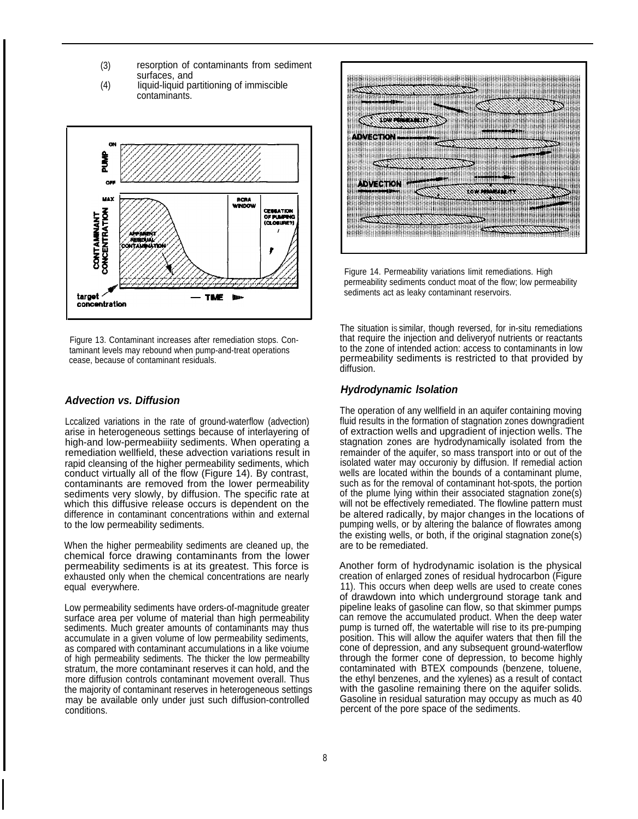- (3) resorption of contaminants from sediment surfaces, and
- (4) Iiquid-liquid partitioning of immiscible contaminants.



Figure 13. Contaminant increases after remediation stops. Contaminant levels may rebound when pump-and-treat operations cease, because of contaminant residuals.

## **Advection vs. Diffusion**

Lccalized variations in the rate of ground-waterflow (advection) arise in heterogeneous settings because of interlayering of high-and low-permeabiiity sediments. When operating a remediation wellfield, these advection variations result in rapid cleansing of the higher permeability sediments, which conduct virtually all of the flow (Figure 14). By contrast, contaminants are removed from the lower permeability sediments very slowly, by diffusion. The specific rate at which this diffusive release occurs is dependent on the difference in contaminant concentrations within and external to the low permeability sediments.

When the higher permeability sediments are cleaned up, the chemical force drawing contaminants from the lower permeability sediments is at its greatest. This force is exhausted only when the chemical concentrations are nearly equal everywhere.

Low permeability sediments have orders-of-magnitude greater surface area per volume of material than high permeability sediments. Much greater amounts of contaminants may thus accumulate in a given volume of low permeability sediments, as compared with contaminant accumulations in a like voiume of high permeability sediments. The thicker the low permeabillty stratum, the more contaminant reserves it can hold, and the more diffusion controls contaminant movement overall. Thus the majority of contaminant reserves in heterogeneous settings may be available only under just such diffusion-controlled conditions.



Figure 14. Permeability variations Iimit remediations. High permeability sediments conduct moat of the flow; low permeability sediments act as leaky contaminant reservoirs.

The situation is similar, though reversed, for in-situ remediations that require the injection and deliveryof nutrients or reactants to the zone of intended action: access to contaminants in low permeability sediments is restricted to that provided by diffusion.

## **Hydrodynamic lsolation**

The operation of any wellfield in an aquifer containing moving fluid results in the formation of stagnation zones downgradient of extraction wells and upgradient of injection wells. The stagnation zones are hydrodynamically isolated from the remainder of the aquifer, so mass transport into or out of the isolated water may occuroniy by diffusion. If remedial action wells are located within the bounds of a contaminant plume, such as for the removal of contaminant hot-spots, the portion of the plume lying within their associated stagnation zone(s) will not be effectively remediated. The flowline pattern must be altered radically, by major changes in the locations of pumping wells, or by altering the balance of flowrates among the existing wells, or both, if the original stagnation zone(s) are to be remediated.

Another form of hydrodynamic isolation is the physical creation of enlarged zones of residual hydrocarbon (Figure 11). This occurs when deep wells are used to create cones of drawdown into which underground storage tank and pipeline leaks of gasoline can flow, so that skimmer pumps can remove the accumulated product. When the deep water pump is turned off, the watertable will rise to its pre-pumping position. This will allow the aquifer waters that then fill the cone of depression, and any subsequent ground-waterflow through the former cone of depression, to become highly contaminated with BTEX compounds (benzene, toluene, the ethyl benzenes, and the xylenes) as a result of contact with the gasoline remaining there on the aquifer solids. Gasoline in residual saturation may occupy as much as 40 percent of the pore space of the sediments.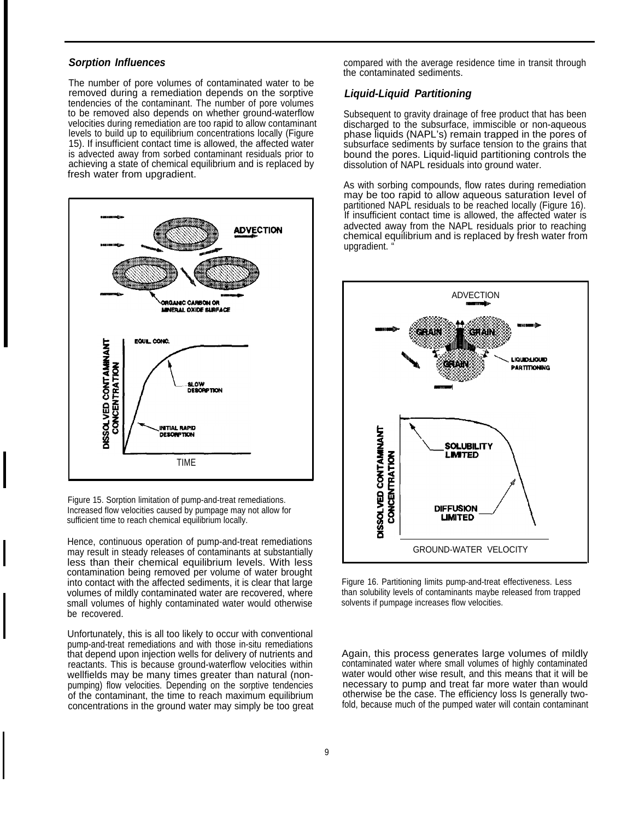## **Sorption Influences**

The number of pore volumes of contaminated water to be removed during a remediation depends on the sorptive tendencies of the contaminant. The number of pore volumes to be removed also depends on whether ground-waterflow velocities during remediation are too rapid to allow contaminant levels to build up to equilibrium concentrations locally (Figure 15). If insufficient contact time is allowed, the affected water is advected away from sorbed contaminant residuals prior to achieving a state of chemical equilibrium and is replaced by fresh water from upgradient.



Figure 15. Sorption limitation of pump-and-treat remediations. Increased flow velocities caused by pumpage may not allow for sufficient time to reach chemical equilibrium locally.

Hence, continuous operation of pump-and-treat remediations may result in steady releases of contaminants at substantially less than their chemical equilibrium levels. With less contamination being removed per volume of water brought into contact with the affected sediments, it is clear that large volumes of mildly contaminated water are recovered, where small volumes of highly contaminated water would otherwise be recovered.

Unfortunately, this is all too likely to occur with conventional pump-and-treat remediations and with those in-situ remediations that depend upon injection wells for delivery of nutrients and reactants. This is because ground-waterflow velocities within wellfields may be many times greater than natural (nonpumping) flow velocities. Depending on the sorptive tendencies of the contaminant, the time to reach maximum equilibrium concentrations in the ground water may simply be too great compared with the average residence time in transit through the contaminated sediments.

## **Liquid-Liquid Partitioning**

Subsequent to gravity drainage of free product that has been discharged to the subsurface, immiscible or non-aqueous phase liquids (NAPL's) remain trapped in the pores of subsurface sediments by surface tension to the grains that bound the pores. Liquid-liquid partitioning controls the dissolution of NAPL residuals into ground water.

As with sorbing compounds, flow rates during remediation may be too rapid to allow aqueous saturation Ievel of partitioned NAPL residuals to be reached locally (Figure 16). If insufficient contact time is allowed, the affected water is advected away from the NAPL residuals prior to reaching chemical equilibrium and is replaced by fresh water from upgradient.



Figure 16. Partitioning limits pump-and-treat effectiveness. Less than solubility levels of contaminants maybe released from trapped solvents if pumpage increases flow velocities.

Again, this process generates large volumes of mildly contaminated water where small volumes of highly contaminated water would other wise result, and this means that it will be necessary to pump and treat far more water than would otherwise be the case. The efficiency loss Is generally twofold, because much of the pumped water will contain contaminant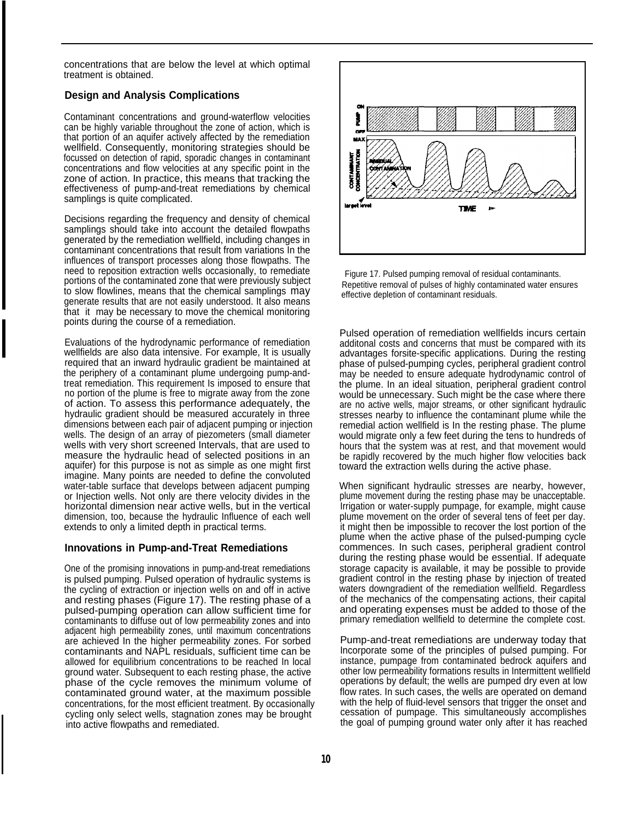concentrations that are below the level at which optimal treatment is obtained.

## **Design and Analysis Complications**

Contaminant concentrations and ground-waterflow velocities can be highly variable throughout the zone of action, which is that portion of an aquifer actively affected by the remediation wellfield. Consequently, monitoring strategies should be focussed on detection of rapid, sporadic changes in contaminant concentrations and flow velocities at any specific point in the zone of action. In practice, this means that tracking the effectiveness of pump-and-treat remediations by chemical samplings is quite complicated.

Decisions regarding the frequency and density of chemical samplings should take into account the detailed flowpaths generated by the remediation wellfield, including changes in contaminant concentrations that result from variations In the influences of transport processes along those flowpaths. The need to reposition extraction wells occasionally, to remediate portions of the contaminated zone that were previously subject to slow flowlines, means that the chemical samplings may generate results that are not easily understood. It also means that it may be necessary to move the chemical monitoring points during the course of a remediation.

Evaluations of the hydrodynamic performance of remediation wellfields are also data intensive. For example, It is usually required that an inward hydraulic gradient be maintained at the periphery of a contaminant plume undergoing pump-andtreat remediation. This requirement Is imposed to ensure that no portion of the plume is free to migrate away from the zone of action. To assess this performance adequately, the hydraulic gradient should be measured accurately in three dimensions between each pair of adjacent pumping or injection wells. The design of an array of piezometers (small diameter wells with very short screened Intervals, that are used to measure the hydraulic head of selected positions in an aquifer) for this purpose is not as simple as one might first imagine. Many points are needed to define the convoluted water-table surface that develops between adjacent pumping or Injection wells. Not only are there velocity divides in the horizontal dimension near active wells, but in the vertical dimension, too, because the hydraulic Influence of each well extends to only a limited depth in practical terms.

## **Innovations in Pump-and-Treat Remediations**

One of the promising innovations in pump-and-treat remediations is pulsed pumping. Pulsed operation of hydraulic systems is the cycling of extraction or injection wells on and off in active and resting phases (Figure 17). The resting phase of a pulsed-pumping operation can allow sufficient time for contaminants to diffuse out of low permeability zones and into adjacent high permeability zones, until maximum concentrations are achieved In the higher permeability zones. For sorbed contaminants and NAPL residuals, sufficient time can be allowed for equilibrium concentrations to be reached In local ground water. Subsequent to each resting phase, the active phase of the cycle removes the minimum volume of contaminated ground water, at the maximum possible concentrations, for the most efficient treatment. By occasionally cycling only select wells, stagnation zones may be brought into active flowpaths and remediated.



Figure 17. Pulsed pumping removal of residual contaminants. Repetitive removal of pulses of highly contaminated water ensures effective depletion of contaminant residuals.

Pulsed operation of remediation wellfields incurs certain additonal costs and concerns that must be compared with its advantages forsite-specific applications. During the resting phase of pulsed-pumping cycles, peripheral gradient control may be needed to ensure adequate hydrodynamic control of the plume. In an ideal situation, peripheral gradient control would be unnecessary. Such might be the case where there are no active wells, major streams, or other significant hydraulic stresses nearby to influence the contaminant plume while the remedial action wellfield is In the resting phase. The plume would migrate only a few feet during the tens to hundreds of hours that the system was at rest, and that movement would be rapidly recovered by the much higher flow velocities back toward the extraction wells during the active phase.

When significant hydraulic stresses are nearby, however, plume movement during the resting phase may be unacceptable. Irrigation or water-supply pumpage, for example, might cause plume movement on the order of several tens of feet per day. it might then be impossible to recover the lost portion of the plume when the active phase of the pulsed-pumping cycle commences. In such cases, peripheral gradient control during the resting phase would be essential. If adequate storage capacity is available, it may be possible to provide gradient control in the resting phase by injection of treated waters downgradient of the remediation wellfield. Regardless of the mechanics of the compensating actions, their capital and operating expenses must be added to those of the primary remediation wellfield to determine the complete cost.

Pump-and-treat remediations are underway today that Incorporate some of the principles of pulsed pumping. For instance, pumpage from contaminated bedrock aquifers and other low permeability formations results in Intermittent wellfield operations by default; the wells are pumped dry even at low flow rates. In such cases, the wells are operated on demand with the help of fluid-level sensors that trigger the onset and cessation of pumpage. This simultaneously accomplishes the goal of pumping ground water only after it has reached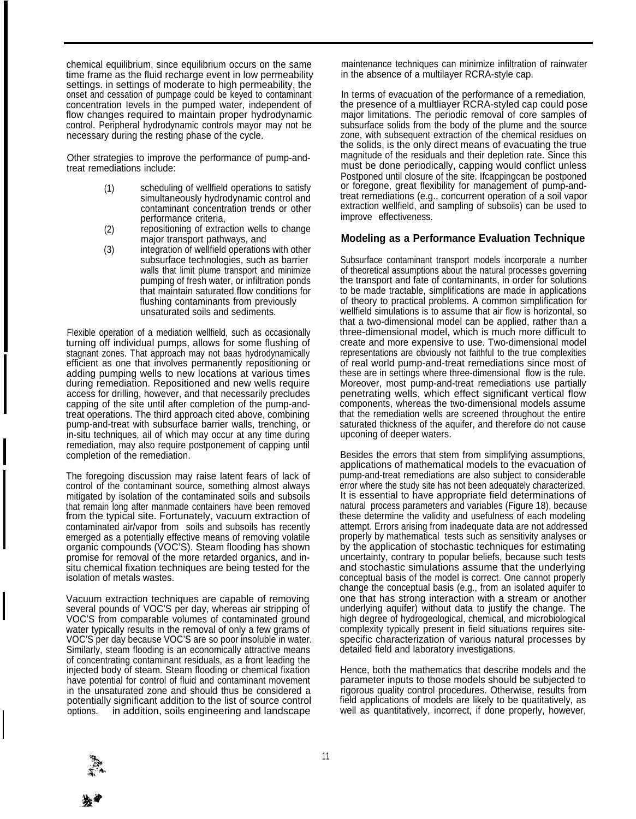chemical equilibrium, since equilibrium occurs on the same time frame as the fluid recharge event in low permeability settings. in settings of moderate to high permeability, the onset and cessation of pumpage could be keyed to contaminant concentration Ievels in the pumped water, independent of flow changes required to maintain proper hydrodynamic control. Peripheral hydrodynamic controls mayor may not be necessary during the resting phase of the cycle.

Other strategies to improve the performance of pump-andtreat remediations include:

- (1) scheduling of wellfield operations to satisfy simultaneously hydrodynamic control and contaminant concentration trends or other performance criteria,
- (2) repositioning of extraction wells to change major transport pathways, and
- (3) integration of wellfield operations with other subsurface technologies, such as barrier walls that limit plume transport and minimize pumping of fresh water, or infiltration ponds that maintain saturated flow conditions for flushing contaminants from previously unsaturated soils and sediments.

Flexible operation of a mediation wellfield, such as occasionally turning off individual pumps, allows for some flushing of stagnant zones. That approach may not baas hydrodynamically efficient as one that involves permanently repositioning or adding pumping wells to new locations at various times during remediation. Repositioned and new wells require access for drilling, however, and that necessarily precludes capping of the site until after completion of the pump-andtreat operations. The third approach cited above, combining pump-and-treat with subsurface barrier walls, trenching, or in-situ techniques, ail of which may occur at any time during remediation, may also require postponement of capping until completion of the remediation.

The foregoing discussion may raise latent fears of lack of control of the contaminant source, something almost always mitigated by isolation of the contaminated soils and subsoils that remain long after manmade containers have been removed from the typical site. Fortunately, vacuum extraction of contaminated air/vapor from soils and subsoils has recently emerged as a potentially effective means of removing volatile organic compounds (VOC'S). Steam flooding has shown promise for removal of the more retarded organics, and insitu chemical fixation techniques are being tested for the isolation of metals wastes.

Vacuum extraction techniques are capable of removing several pounds of VOC'S per day, whereas air stripping of VOC'S from comparable volumes of contaminated ground water typically results in the removal of only a few grams of VOC'S per day because VOC'S are so poor insoluble in water. Similarly, steam flooding is an economically attractive means of concentrating contaminant residuals, as a front leading the injected body of steam. Steam flooding or chemical fixation have potential for control of fluid and contaminant movement in the unsaturated zone and should thus be considered a potentially significant addition to the list of source control options. in addition, soils engineering and landscape

maintenance techniques can minimize infiltration of rainwater in the absence of a multilayer RCRA-style cap.

In terms of evacuation of the performance of a remediation, the presence of a multliayer RCRA-styled cap could pose major limitations. The periodic removal of core samples of subsurface solids from the body of the plume and the source zone, with subsequent extraction of the chemical residues on the solids, is the only direct means of evacuating the true magnitude of the residuals and their depletion rate. Since this must be done periodically, capping would conflict unless Postponed until closure of the site. Ifcappingcan be postponed or foregone, great flexibility for management of pump-andtreat remediations (e.g., concurrent operation of a soil vapor extraction wellfield, and sampling of subsoils) can be used to improve effectiveness.

## **Modeling as a Performance Evaluation Technique**

Subsurface contaminant transport models incorporate a number of theoretical assumptions about the natural processes governing the transport and fate of contaminants, in order for solutions to be made tractable, simplifications are made in applications of theory to practical problems. A common simplification for wellfield simulations is to assume that air flow is horizontal, so that a two-dimensional model can be applied, rather than a three-dimensional model, which is much more difficult to create and more expensive to use. Two-dimensional model representations are obviously not faithful to the true complexities of real world pump-and-treat remediations since most of these are in settings where three-dimensional flow is the rule. Moreover, most pump-and-treat remediations use partially penetrating wells, which effect significant vertical flow components, whereas the two-dimensional models assume that the remediation wells are screened throughout the entire saturated thickness of the aquifer, and therefore do not cause upconing of deeper waters.

Besides the errors that stem from simplifying assumptions, applications of mathematical models to the evacuation of pump-and-treat remediations are also subject to considerable error where the study site has not been adequately characterized. It is essential to have appropriate field determinations of natural process parameters and variables (Figure 18), because these determine the validity and usefulness of each modeling attempt. Errors arising from inadequate data are not addressed properly by mathematical tests such as sensitivity analyses or by the application of stochastic techniques for estimating uncertainty, contrary to popular beliefs, because such tests and stochastic simulations assume that the underlying conceptual basis of the model is correct. One cannot properly change the conceptual basis (e.g., from an isolated aquifer to one that has strong interaction with a stream or another underlying aquifer) without data to justify the change. The high degree of hydrogeological, chemical, and microbiological complexity typically present in field situations requires sitespecific characterization of various natural processes by detailed field and laboratory investigations.

Hence, both the mathematics that describe models and the parameter inputs to those models should be subjected to rigorous quality control procedures. Otherwise, results from field applications of models are likely to be quatitatively, as well as quantitatively, incorrect, if done properly, however,

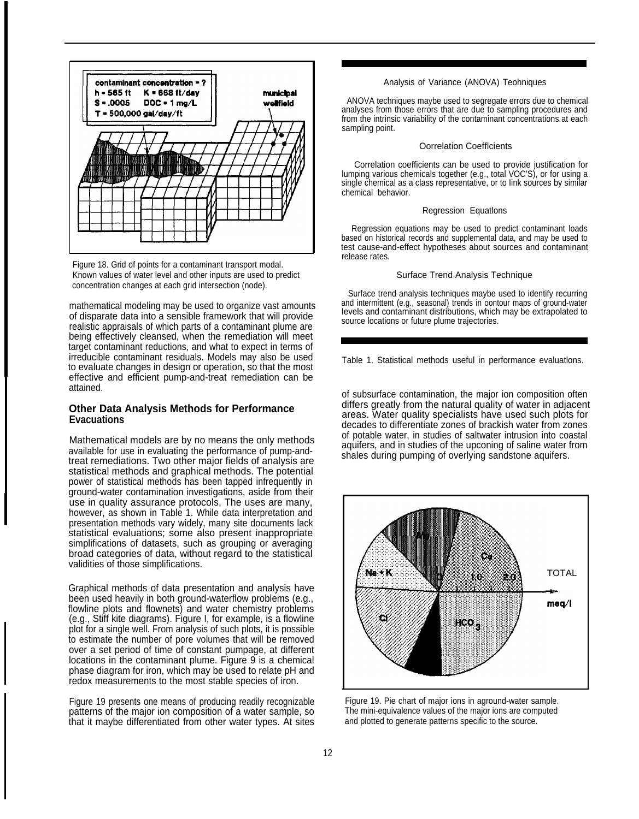

Figure 18. Grid of points for a contaminant transport modal. Known values of water level and other inputs are used to predict concentration changes at each grid intersection (node).

mathematical modeling may be used to organize vast amounts of disparate data into a sensible framework that will provide realistic appraisals of which parts of a contaminant plume are being effectively cleansed, when the remediation will meet target contaminant reductions, and what to expect in terms of irreducible contaminant residuals. Models may also be used to evaluate changes in design or operation, so that the most effective and efficient pump-and-treat remediation can be attained.

## **Other Data Analysis Methods for Performance Evacuations**

Mathematical models are by no means the only methods available for use in evaluating the performance of pump-andtreat remediations. Two other major fields of analysis are statistical methods and graphical methods. The potential power of statistical methods has been tapped infrequently in ground-water contamination investigations, aside from their use in quality assurance protocols. The uses are many, however, as shown in Table 1. While data interpretation and presentation methods vary widely, many site documents lack statistical evaluations; some also present inappropriate simplifications of datasets, such as grouping or averaging broad categories of data, without regard to the statistical validities of those simplifications.

Graphical methods of data presentation and analysis have been used heavily in both ground-waterflow problems (e.g., flowline plots and flownets) and water chemistry problems (e.g., Stiff kite diagrams). Figure I, for example, is a flowline plot for a single well. From analysis of such plots, it is possible to estimate the number of pore volumes that will be removed over a set period of time of constant pumpage, at different locations in the contaminant plume. Figure 9 is a chemical phase diagram for iron, which may be used to relate pH and redox measurements to the most stable species of iron.

Figure 19 presents one means of producing readily recognizable patterns of the major ion composition of a water sample, so that it maybe differentiated from other water types. At sites

#### Analysis of Variance (ANOVA) Teohniques

ANOVA techniques maybe used to segregate errors due to chemical analyses from those errors that are due to sampling procedures and from the intrinsic variability of the contaminant concentrations at each sampling point.

#### Oorrelation Coefflcients

Correlation coefficients can be used to provide justification for lumping various chemicals together (e.g., total VOC'S), or for using a single chemical as a class representative, or to Iink sources by similar chemical behavior.

#### Regression Equatlons

Regression equations may be used to predict contaminant loads based on historical records and supplemental data, and may be used to test cause-and-effect hypotheses about sources and contaminant release rates.

#### Surface Trend Analysis Technique

Surface trend analysis techniques maybe used to identify recurring and intermittent (e.g., seasonal) trends in oontour maps of ground-water Ievels and contaminant distributions, which may be extrapolated to source locations or future plume trajectories.

#### Table 1. Statistical methods useful in performance evaluatlons.

of subsurface contamination, the major ion composition often differs greatly from the natural quality of water in adjacent areas. Water quality specialists have used such plots for decades to differentiate zones of brackish water from zones of potable water, in studies of saltwater intrusion into coastal aquifers, and in studies of the upconing of saline water from shales during pumping of overlying sandstone aquifers.



Figure 19. Pie chart of major ions in aground-water sample. The mini-equivalence values of the major ions are computed and plotted to generate patterns specific to the source.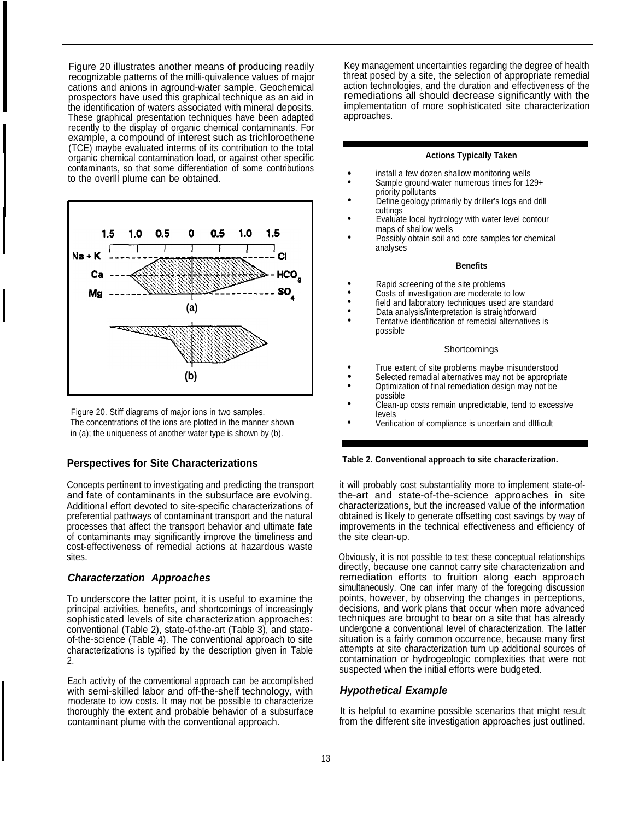Figure 20 illustrates another means of producing readily recognizable patterns of the milli-quivalence values of major cations and anions in aground-water sample. Geochemical prospectors have used this graphical technique as an aid in the identification of waters associated with mineral deposits. These graphical presentation techniques have been adapted recently to the display of organic chemical contaminants. For example, a compound of interest such as trichloroethene (TCE) maybe evaluated interms of its contribution to the total organic chemical contamination load, or against other specific contaminants, so that some differentiation of some contributions to the overlll plume can be obtained.



Figure 20. Stiff diagrams of major ions in two samples. The concentrations of the ions are plotted in the manner shown in (a); the uniqueness of another water type is shown by (b).

## **Perspectives for Site Characterizations**

Concepts pertinent to investigating and predicting the transport and fate of contaminants in the subsurface are evolving. Additional effort devoted to site-specific characterizations of preferential pathways of contaminant transport and the natural processes that affect the transport behavior and ultimate fate of contaminants may significantly improve the timeliness and cost-effectiveness of remedial actions at hazardous waste sites.

## **Characterzation Approaches**

To underscore the latter point, it is useful to examine the principal activities, benefits, and shortcomings of increasingly sophisticated levels of site characterization approaches: conventional (Table 2), state-of-the-art (Table 3), and stateof-the-science (Table 4). The conventional approach to site characterizations is typified by the description given in Table 2.

Each activity of the conventional approach can be accomplished with semi-skilled labor and off-the-shelf technology, with moderate to iow costs. It may not be possible to characterize thoroughly the extent and probable behavior of a subsurface contaminant plume with the conventional approach.

Key management uncertainties regarding the degree of health threat posed by a site, the selection of appropriate remedial action technologies, and the duration and effectiveness of the remediations all should decrease significantly with the implementation of more sophisticated site characterization approaches.

#### **Actions Typically Taken**

- install a few dozen shallow monitoring wells
- Sample ground-water numerous times for 129+ priority pollutants
- Define geology primarily by driller's logs and drill cuttings
- Evaluate local hydrology with water level contour maps of shallow wells
- Possibly obtain soil and core samples for chemical analyses

#### **Benefits**

- Rapid screening of the site problems
- Costs of investigation are moderate to low
- field and laboratory techniques used are standard
- Data analysis/interpretation is straightforward
- Tentative identification of remedial alternatives is possible

#### **Shortcomings**

- True extent of site problems maybe misunderstood
- Selected remadial alternatives may not be appropriate
- Optimization of final remediation design may not be possible
- Clean-up costs remain unpredictable, tend to excessive levels
- Verification of compliance is uncertain and dlfficult

#### **Table 2. Conventional approach to site characterization.**

it will probably cost substantiality more to implement state-ofthe-art and state-of-the-science approaches in site characterizations, but the increased value of the information obtained is likely to generate offsetting cost savings by way of improvements in the technical effectiveness and efficiency of the site clean-up.

Obviously, it is not possible to test these conceptual relationships directly, because one cannot carry site characterization and remediation efforts to fruition along each approach simultaneously. One can infer many of the foregoing discussion points, however, by observing the changes in perceptions, decisions, and work plans that occur when more advanced techniques are brought to bear on a site that has already undergone a conventional Ievel of characterization. The latter situation is a fairly common occurrence, because many first attempts at site characterization turn up additional sources of contamination or hydrogeologic complexities that were not suspected when the initial efforts were budgeted.

## **Hypothetical Example**

It is helpful to examine possible scenarios that might result from the different site investigation approaches just outlined.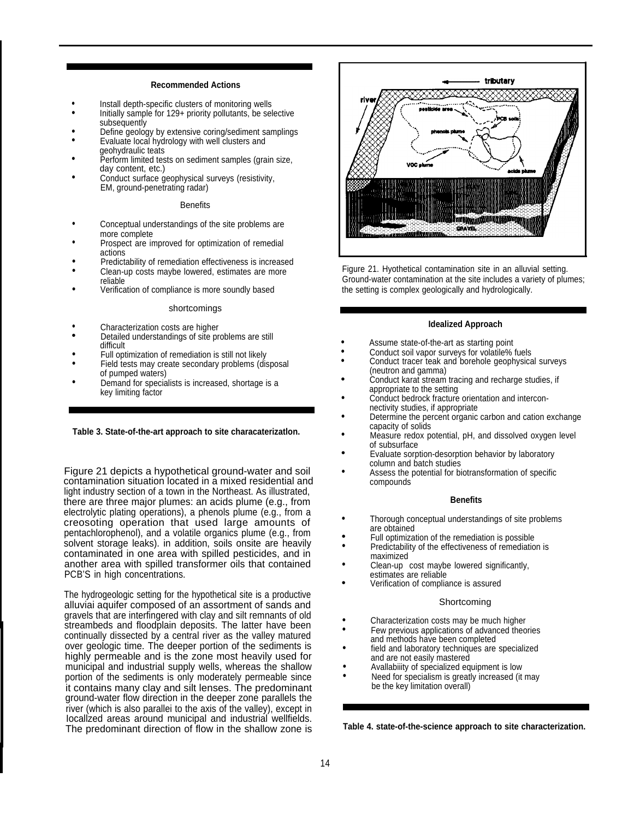#### **Recommended Actions**

- Install depth-specific clusters of monitoring wells
- Initially sample for 129+ priority pollutants, be selective
- ● subsequently Define geology by extensive coring/sediment samplings Evaluate local hydrology with well clusters and
- geohydraulic teats
- Perform limited tests on sediment samples (grain size, day content, etc.)
- Conduct surface geophysical surveys (resistivity, EM, ground-penetrating radar)

#### **Benefits**

- Conceptual understandings of the site problems are more complete
- Prospect are improved for optimization of remedial actions
- Predictability of remediation effectiveness is increased
- Clean-up costs maybe lowered, estimates are more reliable
- Verification of compliance is more soundly based

#### shortcomings

- Characterization costs are higher
- Detailed understandings of site problems are still difficult
- Full optimization of remediation is still not likely
- Field tests may create secondary problems (disposal of pumped waters)
- Demand for specialists is increased, shortage is a key limiting factor

#### **Table 3. State-of-the-art approach to site characaterizatlon.**

Figure 21 depicts a hypothetical ground-water and soil contamination situation located in a mixed residential and light industry section of a town in the Northeast. As illustrated, there are three major plumes: an acids plume (e.g., from electrolytic plating operations), a phenols plume (e.g., from a creosoting operation that used large amounts of pentachlorophenol), and a volatile organics plume (e.g., from solvent storage leaks). in addition, soils onsite are heavily contaminated in one area with spilled pesticides, and in another area with spilled transformer oils that contained PCB'S in high concentrations.

The hydrogeologic setting for the hypothetical site is a productive alluviai aquifer composed of an assortment of sands and gravels that are interfingered with clay and silt remnants of old streambeds and floodplain deposits. The latter have been continually dissected by a central river as the valley matured over geologic time. The deeper portion of the sediments is highly permeable and is the zone most heavily used for municipal and industrial supply wells, whereas the shallow portion of the sediments is only moderately permeable since it contains many clay and silt lenses. The predominant ground-water flow direction in the deeper zone parallels the river (which is also parallei to the axis of the valley), except in locallzed areas around municipal and industrial wellfields. The predominant direction of flow in the shallow zone is



Figure 21. Hyothetical contamination site in an alluvial setting. Ground-water contamination at the site includes a variety of plumes; the setting is complex geologically and hydrologically.

#### **Idealized Approach**

- Assume state-of-the-art as starting point
- Conduct soil vapor surveys for volatile% fuels
- Conduct tracer teak and borehole geophysical surveys (neutron and gamma)
- Conduct karat stream tracing and recharge studies, if appropriate to the setting
- Conduct bedrock fracture orientation and interconnectivity studies, if appropriate
- Determine the percent organic carbon and cation exchange capacity of solids
- Measure redox potential, pH, and dissolved oxygen level of subsurface
- Evaluate sorption-desorption behavior by laboratory column and batch studies
- Assess the potential for biotransformation of specific compounds

#### **Benefits**

- Thorough conceptual understandings of site problems are obtained
- Full optimization of the remediation is possible
- Predictability of the effectiveness of remediation is maximized
- Clean-up cost maybe lowered significantly, estimates are reliable
- Verification of compliance is assured

#### **Shortcoming**

- Characterization costs may be much higher
- Few previous applications of advanced theories and methods have been completed
- field and laboratory techniques are specialized and are not easily mastered
- Avallabiiity of specialized equipment is low
- Need for specialism is greatly increased (it may be the key limitation overall)

**Table 4. state-of-the-science approach to site characterization.**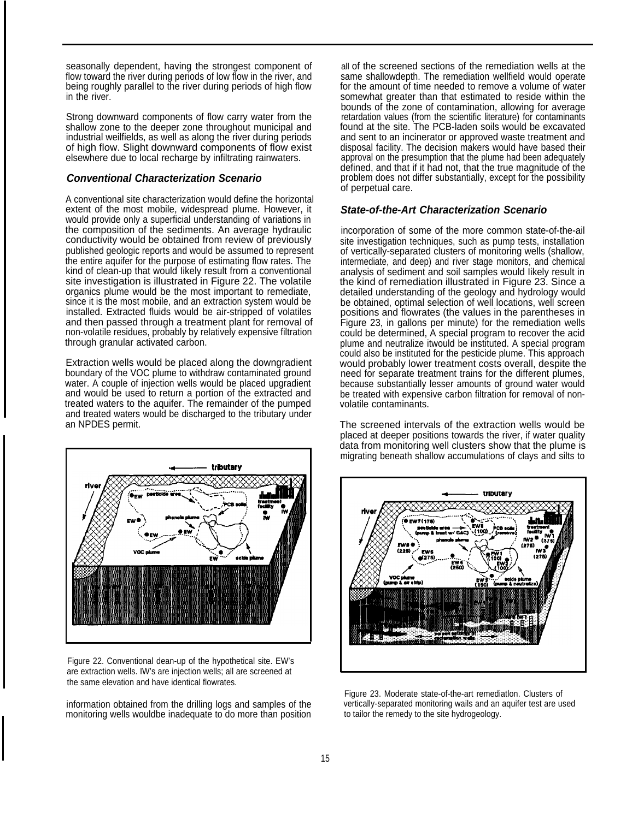seasonally dependent, having the strongest component of flow toward the river during periods of low flow in the river, and being roughly parallel to the river during periods of high flow in the river.

Strong downward components of flow carry water from the shallow zone to the deeper zone throughout municipal and industrial weilfields, as well as along the river during periods of high flow. Slight downward components of flow exist elsewhere due to local recharge by infiltrating rainwaters.

## **Conventional Characterization Scenario**

A conventional site characterization would define the horizontal extent of the most mobile, widespread plume. However, it would provide only a superficial understanding of variations in the composition of the sediments. An average hydraulic conductivity would be obtained from review of previously published geologic reports and would be assumed to represent the entire aquifer for the purpose of estimating flow rates. The kind of clean-up that would Iikely result from a conventional site investigation is illustrated in Figure 22. The volatile organics plume would be the most important to remediate, since it is the most mobile, and an extraction system would be installed. Extracted fluids would be air-stripped of volatiles and then passed through a treatment plant for removal of non-volatile residues, probably by relatively expensive filtration through granular activated carbon.

Extraction wells would be placed along the downgradient boundary of the VOC plume to withdraw contaminated ground water. A couple of injection wells would be placed upgradient and would be used to return a portion of the extracted and treated waters to the aquifer. The remainder of the pumped and treated waters would be discharged to the tributary under an NPDES permit.



Figure 22. Conventional dean-up of the hypothetical site. EW's are extraction wells. IW's are injection wells; all are screened at the same elevation and have identical flowrates.

information obtained from the drilling logs and samples of the monitoring wells wouldbe inadequate to do more than position all of the screened sections of the remediation wells at the same shallowdepth. The remediation wellfield would operate for the amount of time needed to remove a volume of water somewhat greater than that estimated to reside within the bounds of the zone of contamination, allowing for average retardation values (from the scientific literature) for contaminants found at the site. The PCB-laden soils would be excavated and sent to an incinerator or approved waste treatment and disposal facility. The decision makers would have based their approval on the presumption that the plume had been adequately defined, and that if it had not, that the true magnitude of the problem does not differ substantially, except for the possibility of perpetual care.

#### **State-of-the-Art Characterization Scenario**

incorporation of some of the more common state-of-the-ail site investigation techniques, such as pump tests, installation of vertically-separated clusters of monitoring wells (shallow, intermediate, and deep) and river stage monitors, and chemical analysis of sediment and soil samples would Iikely result in the kind of remediation illustrated in Figure 23. Since a detailed understanding of the geology and hydrology would be obtained, optimal selection of well locations, well screen positions and flowrates (the values in the parentheses in Figure 23, in gallons per minute) for the remediation wells could be determined, A special program to recover the acid plume and neutralize itwould be instituted. A special program could also be instituted for the pesticide plume. This approach would probably lower treatment costs overall, despite the need for separate treatment trains for the different plumes, because substantially lesser amounts of ground water would be treated with expensive carbon filtration for removal of nonvolatile contaminants.

The screened intervals of the extraction wells would be placed at deeper positions towards the river, if water quality data from monitoring well clusters show that the plume is migrating beneath shallow accumulations of clays and silts to



Figure 23. Moderate state-of-the-art remediatlon. Clusters of vertically-separated monitoring wails and an aquifer test are used to tailor the remedy to the site hydrogeology.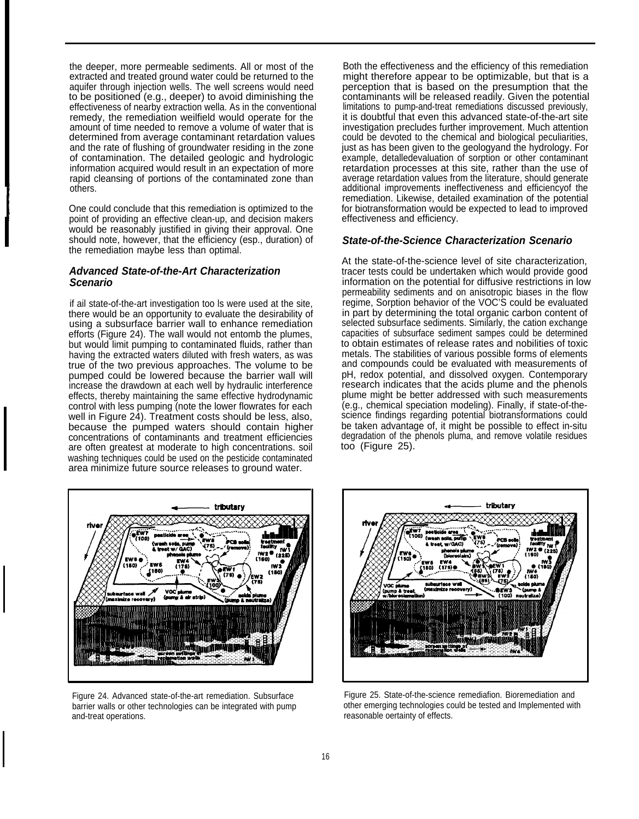the deeper, more permeable sediments. All or most of the extracted and treated ground water could be returned to the aquifer through injection wells. The well screens would need to be positioned (e.g., deeper) to avoid diminishing the effectiveness of nearby extraction wella. As in the conventional remedy, the remediation weilfield would operate for the amount of time needed to remove a volume of water that is determined from average contaminant retardation values and the rate of flushing of groundwater residing in the zone of contamination. The detailed geologic and hydrologic information acquired would result in an expectation of more rapid cleansing of portions of the contaminated zone than others.

One could conclude that this remediation is optimized to the point of providing an effective clean-up, and decision makers would be reasonably justified in giving their approval. One should note, however, that the efficiency (esp., duration) of the remediation maybe less than optimal.

## **Advanced State-of-the-Art Characterization Scenario**

if ail state-of-the-art investigation too ls were used at the site, there would be an opportunity to evaluate the desirability of using a subsurface barrier wall to enhance remediation efforts (Figure 24). The wall would not entomb the plumes, but would limit pumping to contaminated fluids, rather than having the extracted waters diluted with fresh waters, as was true of the two previous approaches. The volume to be pumped could be lowered because the barrier wall will increase the drawdown at each well by hydraulic interference effects, thereby maintaining the same effective hydrodynamic control with less pumping (note the lower flowrates for each well in Figure 24). Treatment costs should be less, also, because the pumped waters should contain higher concentrations of contaminants and treatment efficiencies are often greatest at moderate to high concentrations. soil washing techniques could be used on the pesticide contaminated area minimize future source releases to ground water.



Figure 24. Advanced state-of-the-art remediation. Subsurface barrier walls or other technologies can be integrated with pump and-treat operations.

Both the effectiveness and the efficiency of this remediation might therefore appear to be optimizable, but that is a perception that is based on the presumption that the contaminants will be released readily. Given the potential limitations to pump-and-treat remediations discussed previously, it is doubtful that even this advanced state-of-the-art site investigation precludes further improvement. Much attention could be devoted to the chemical and biological peculiarities, just as has been given to the geologyand the hydrology. For example, detalledevaluation of sorption or other contaminant retardation processes at this site, rather than the use of average retardation values from the literature, should generate additional improvements ineffectiveness and efficiencyof the remediation. Likewise, detailed examination of the potential for biotransformation would be expected to lead to improved effectiveness and efficiency.

## **State-of-the-Science Characterization Scenario**

At the state-of-the-science level of site characterization, tracer tests could be undertaken which would provide good information on the potential for diffusive restrictions in low permeability sediments and on anisotropic biases in the flow regime, Sorption behavior of the VOC'S could be evaluated in part by determining the total organic carbon content of selected subsurface sediments. Similarly, the cation exchange capacities of subsurface sediment sampes could be determined to obtain estimates of release rates and nobilities of toxic metals. The stabilities of various possible forms of elements and compounds could be evaluated with measurements of pH, redox potential, and dissolved oxygen. Contemporary research indicates that the acids plume and the phenols plume might be better addressed with such measurements (e.g., chemical speciation modeling). Finally, if state-of-thescience findings regarding potential biotransformations could be taken advantage of, it might be possible to effect in-situ degradation of the phenols pluma, and remove volatile residues too (Figure 25).



Figure 25. State-of-the-science remediafion. Bioremediation and other emerging technologies could be tested and Implemented with reasonable oertainty of effects.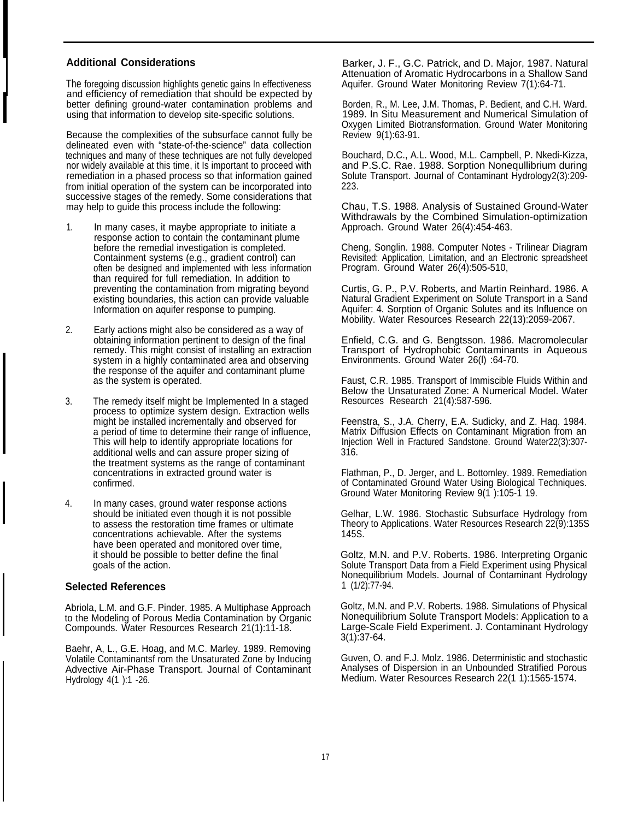## **Additional Considerations**

The foregoing discussion highlights genetic gains In effectiveness and efficiency of remediation that should be expected by better defining ground-water contamination problems and using that information to develop site-specific solutions.

Because the complexities of the subsurface cannot fully be delineated even with "state-of-the-science" data collection techniques and many of these techniques are not fully developed nor widely available at this time, it Is important to proceed with remediation in a phased process so that information gained from initial operation of the system can be incorporated into successive stages of the remedy. Some considerations that may help to guide this process include the following:

- 1. In many cases, it maybe appropriate to initiate a response action to contain the contaminant plume before the remedial investigation is completed. Containment systems (e.g., gradient control) can often be designed and implemented with less information than required for full remediation. In addition to preventing the contamination from migrating beyond existing boundaries, this action can provide valuable Information on aquifer response to pumping.
- 2. Early actions might also be considered as a way of obtaining information pertinent to design of the final remedy. This might consist of installing an extraction system in a highly contaminated area and observing the response of the aquifer and contaminant plume as the system is operated.
- 3. The remedy itself might be Implemented In a staged process to optimize system design. Extraction wells might be installed incrementally and observed for a period of time to determine their range of influence, This will help to identify appropriate locations for additional wells and can assure proper sizing of the treatment systems as the range of contaminant concentrations in extracted ground water is confirmed.
- 4. In many cases, ground water response actions should be initiated even though it is not possible to assess the restoration time frames or ultimate concentrations achievable. After the systems have been operated and monitored over time, it should be possible to better define the final goals of the action.

#### **Selected References**

Abriola, L.M. and G.F. Pinder. 1985. A Multiphase Approach to the Modeling of Porous Media Contamination by Organic Compounds. Water Resources Research 21(1):11-18.

Baehr, A, L., G.E. Hoag, and M.C. Marley. 1989. Removing Volatile Contaminantsf rom the Unsaturated Zone by Inducing Advective Air-Phase Transport. Journal of Contaminant Hydrology 4(1 ):1 -26.

Barker, J. F., G.C. Patrick, and D. Major, 1987. Natural Attenuation of Aromatic Hydrocarbons in a Shallow Sand Aquifer. Ground Water Monitoring Review 7(1):64-71.

Borden, R., M. Lee, J.M. Thomas, P. Bedient, and C.H. Ward. 1989. In Situ Measurement and Numerical Simulation of Oxygen Limited Biotransformation. Ground Water Monitoring Review 9(1):63-91.

Bouchard, D.C., A.L. Wood, M.L. Campbell, P. Nkedi-Kizza, and P.S.C. Rae. 1988. Sorption Nonequllibrium during Solute Transport. Journal of Contaminant Hydrology2(3):209- 223.

Chau, T.S. 1988. Analysis of Sustained Ground-Water Withdrawals by the Combined Simulation-optimization Approach. Ground Water 26(4):454-463.

Cheng, Songlin. 1988. Computer Notes - Trilinear Diagram Revisited: Application, Limitation, and an Electronic spreadsheet Program. Ground Water 26(4):505-510,

Curtis, G. P., P.V. Roberts, and Martin Reinhard. 1986. A Natural Gradient Experiment on Solute Transport in a Sand Aquifer: 4. Sorption of Organic Solutes and its Influence on Mobility. Water Resources Research 22(13):2059-2067.

Enfield, C.G. and G. Bengtsson. 1986. Macromolecular Transport of Hydrophobic Contaminants in Aqueous Environments. Ground Water 26(l) :64-70.

Faust, C.R. 1985. Transport of Immiscible Fluids Within and Below the Unsaturated Zone: A Numerical Model. Water Resources Research 21(4):587-596.

Feenstra, S., J.A. Cherry, E.A. Sudicky, and Z. Haq. 1984. Matrix Diffusion Effects on Contaminant Migration from an Injection Well in Fractured Sandstone. Ground Water22(3):307- 316.

Flathman, P., D. Jerger, and L. Bottomley. 1989. Remediation of Contaminated Ground Water Using Biological Techniques. Ground Water Monitoring Review 9(1 ):105-1 19.

Gelhar, L.W. 1986. Stochastic Subsurface Hydrology from Theory to Applications. Water Resources Research 22(9):135S 145S.

Goltz, M.N. and P.V. Roberts. 1986. Interpreting Organic Solute Transport Data from a Field Experiment using Physical Nonequilibrium Models. Journal of Contaminant Hydrology 1 (1/2):77-94.

Goltz, M.N. and P.V. Roberts. 1988. Simulations of Physical Nonequilibrium Solute Transport Models: Application to a Large-Scale Field Experiment. J. Contaminant Hydrology 3(1):37-64.

Guven, O. and F.J. Molz. 1986. Deterministic and stochastic Analyses of Dispersion in an Unbounded Stratified Porous Medium. Water Resources Research 22(1 1):1565-1574.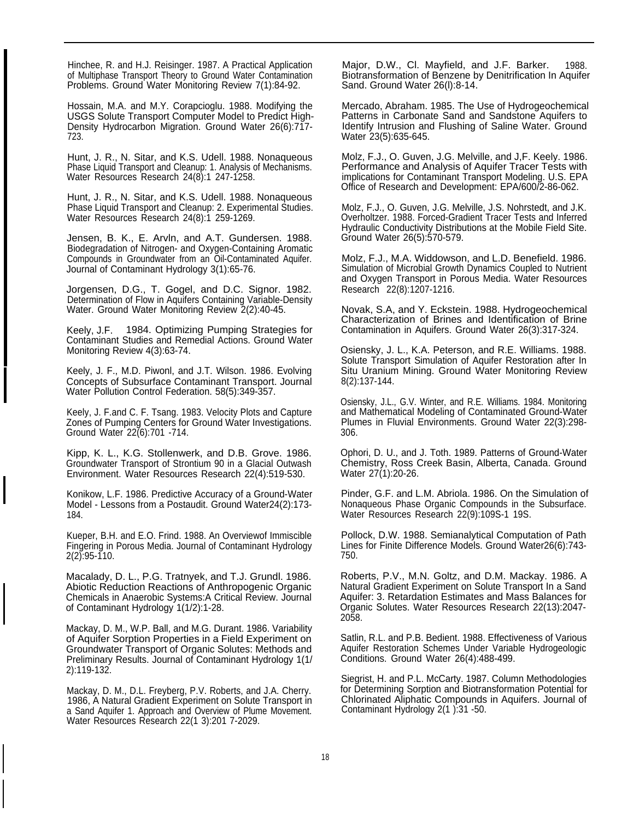Hinchee, R. and H.J. Reisinger. 1987. A Practical Application of Multiphase Transport Theory to Ground Water Contamination Problems. Ground Water Monitoring Review 7(1):84-92.

Hossain, M.A. and M.Y. Corapcioglu. 1988. Modifying the USGS Solute Transport Computer Model to Predict High-Density Hydrocarbon Migration. Ground Water 26(6):717- 723.

Hunt, J. R., N. Sitar, and K.S. Udell. 1988. Nonaqueous Phase Liquid Transport and Cleanup: 1. Analysis of Mechanisms. Water Resources Research 24(8):1 247-1258.

Hunt, J. R., N. Sitar, and K.S. Udell. 1988. Nonaqueous Phase Liquid Transport and Cleanup: 2. Experimental Studies. Water Resources Research 24(8):1 259-1269.

Jensen, B. K., E. Arvln, and A.T. Gundersen. 1988. Biodegradation of Nitrogen- and Oxygen-Containing Aromatic Compounds in Groundwater from an Oil-Contaminated Aquifer. Journal of Contaminant Hydrology 3(1):65-76.

Jorgensen, D.G., T. Gogel, and D.C. Signor. 1982. Determination of Flow in Aquifers Containing Variable-Density Water. Ground Water Monitoring Review 2(2):40-45.

Keely, J.F. 1984. Optimizing Pumping Strategies for Contaminant Studies and Remedial Actions. Ground Water Monitoring Review 4(3):63-74.

Keely, J. F., M.D. Piwonl, and J.T. Wilson. 1986. Evolving Concepts of Subsurface Contaminant Transport. Journal Water Pollution Control Federation. 58(5):349-357.

Keely, J. F.and C. F. Tsang. 1983. Velocity Plots and Capture Zones of Pumping Centers for Ground Water Investigations. Ground Water 22(6):701 -714.

Kipp, K. L., K.G. Stollenwerk, and D.B. Grove. 1986. Groundwater Transport of Strontium 90 in a Glacial Outwash Environment. Water Resources Research 22(4):519-530.

Konikow, L.F. 1986. Predictive Accuracy of a Ground-Water Model - Lessons from a Postaudit. Ground Water24(2):173- 184.

Kueper, B.H. and E.O. Frind. 1988. An Overviewof Immiscible Fingering in Porous Media. Journal of Contaminant Hydrology  $2(2)$ :95-110.

Macalady, D. L., P.G. Tratnyek, and T.J. Grundl. 1986. Abiotic Reduction Reactions of Anthropogenic Organic Chemicals in Anaerobic Systems:A Critical Review. Journal of Contaminant Hydrology 1(1/2):1-28.

Mackay, D. M., W.P. Ball, and M.G. Durant. 1986. Variability of Aquifer Sorption Properties in a Field Experiment on Groundwater Transport of Organic Solutes: Methods and Preliminary Results. Journal of Contaminant Hydrology 1(1/ 2):119-132.

Mackay, D. M., D.L. Freyberg, P.V. Roberts, and J.A. Cherry. 1986, A Natural Gradient Experiment on Solute Transport in a Sand Aquifer 1. Approach and Overview of Plume Movement. Water Resources Research 22(1 3):201 7-2029.

Major, D.W., Cl. Mayfield, and J.F. Barker. 1988. Biotransformation of Benzene by Denitrification In Aquifer Sand. Ground Water 26(l):8-14.

Mercado, Abraham. 1985. The Use of Hydrogeochemical Patterns in Carbonate Sand and Sandstone Aquifers to Identify Intrusion and Flushing of Saline Water. Ground Water 23(5):635-645.

Molz, F.J., O. Guven, J.G. Melville, and J,F. Keely. 1986. Performance and Analysis of Aquifer Tracer Tests with implications for Contaminant Transport Modeling. U.S. EPA Office of Research and Development: EPA/600/2-86-062.

Molz, F.J., O. Guven, J.G. Melville, J.S. Nohrstedt, and J.K. Overholtzer. 1988. Forced-Gradient Tracer Tests and Inferred Hydraulic Conductivity Distributions at the Mobile Field Site. Ground Water 26(5):570-579.

Molz, F.J., M.A. Widdowson, and L.D. Benefield. 1986. Simulation of Microbial Growth Dynamics Coupled to Nutrient and Oxygen Transport in Porous Media. Water Resources Research 22(8):1207-1216.

Novak, S.A, and Y. Eckstein. 1988. Hydrogeochemical Characterization of Brines and Identification of Brine Contamination in Aquifers. Ground Water 26(3):317-324.

Osiensky, J. L., K.A. Peterson, and R.E. Williams. 1988. Solute Transport Simulation of Aquifer Restoration after In Situ Uranium Mining. Ground Water Monitoring Review 8(2):137-144.

Osiensky, J.L., G.V. Winter, and R.E. Williams. 1984. Monitoring and Mathematical Modeling of Contaminated Ground-Water Plumes in Fluvial Environments. Ground Water 22(3):298- 306.

Ophori, D. U., and J. Toth. 1989. Patterns of Ground-Water Chemistry, Ross Creek Basin, Alberta, Canada. Ground Water 27(1):20-26.

Pinder, G.F. and L.M. Abriola. 1986. On the Simulation of Nonaqueous Phase Organic Compounds in the Subsurface. Water Resources Research 22(9):109S-1 19S.

Pollock, D.W. 1988. Semianalytical Computation of Path Lines for Finite Difference Models. Ground Water26(6):743- 750.

Roberts, P.V., M.N. Goltz, and D.M. Mackay. 1986. A Natural Gradient Experiment on Solute Transport In a Sand Aquifer: 3. Retardation Estimates and Mass Balances for Organic Solutes. Water Resources Research 22(13):2047- 2058.

Satlin, R.L. and P.B. Bedient. 1988. Effectiveness of Various Aquifer Restoration Schemes Under Variable Hydrogeologic Conditions. Ground Water 26(4):488-499.

Siegrist, H. and P.L. McCarty. 1987. Column Methodologies for Determining Sorption and Biotransformation Potential for Chlorinated Aliphatic Compounds in Aquifers. Journal of Contaminant Hydrology 2(1 ):31 -50.